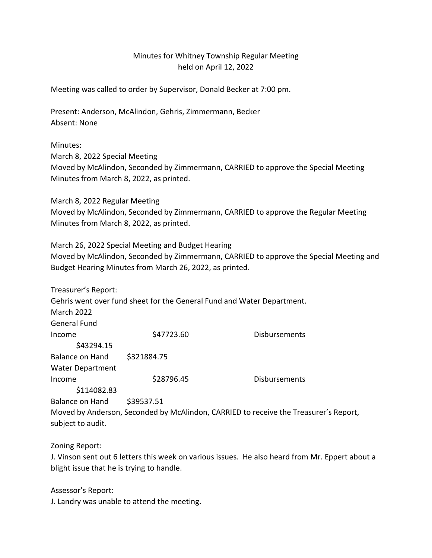## Minutes for Whitney Township Regular Meeting held on April 12, 2022

Meeting was called to order by Supervisor, Donald Becker at 7:00 pm.

Present: Anderson, McAlindon, Gehris, Zimmermann, Becker Absent: None

Minutes:

March 8, 2022 Special Meeting

Moved by McAlindon, Seconded by Zimmermann, CARRIED to approve the Special Meeting Minutes from March 8, 2022, as printed.

March 8, 2022 Regular Meeting Moved by McAlindon, Seconded by Zimmermann, CARRIED to approve the Regular Meeting Minutes from March 8, 2022, as printed.

March 26, 2022 Special Meeting and Budget Hearing Moved by McAlindon, Seconded by Zimmermann, CARRIED to approve the Special Meeting and Budget Hearing Minutes from March 26, 2022, as printed.

| Treasurer's Report:     |                                                                        |                                                                                      |
|-------------------------|------------------------------------------------------------------------|--------------------------------------------------------------------------------------|
|                         | Gehris went over fund sheet for the General Fund and Water Department. |                                                                                      |
| <b>March 2022</b>       |                                                                        |                                                                                      |
| General Fund            |                                                                        |                                                                                      |
| Income                  | \$47723.60                                                             | <b>Disbursements</b>                                                                 |
| \$43294.15              |                                                                        |                                                                                      |
| <b>Balance on Hand</b>  | \$321884.75                                                            |                                                                                      |
| <b>Water Department</b> |                                                                        |                                                                                      |
| Income                  | \$28796.45                                                             | <b>Disbursements</b>                                                                 |
| \$114082.83             |                                                                        |                                                                                      |
| Balance on Hand         | \$39537.51                                                             |                                                                                      |
|                         |                                                                        | Moved by Anderson, Seconded by McAlindon, CARRIED to receive the Treasurer's Report, |
| subject to audit.       |                                                                        |                                                                                      |

Zoning Report:

J. Vinson sent out 6 letters this week on various issues. He also heard from Mr. Eppert about a blight issue that he is trying to handle.

Assessor's Report:

J. Landry was unable to attend the meeting.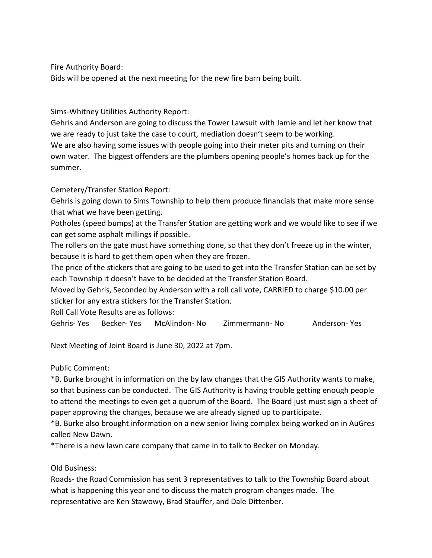Fire Authority Board:

Bids will be opened at the next meeting for the new fire barn being built.

Sims-Whitney Utilities Authority Report:

Gehris and Anderson are going to discuss the Tower Lawsuit with Jamie and let her know that we are ready to just take the case to court, mediation doesn't seem to be working. We are also having some issues with people going into their meter pits and turning on their own water. The biggest offenders are the plumbers opening people's homes back up for the summer.

## Cemetery/Transfer Station Report:

Gehris is going down to Sims Township to help them produce financials that make more sense that what we have been getting.

Potholes (speed bumps) at the Transfer Station are getting work and we would like to see if we can get some asphalt millings if possible.

The rollers on the gate must have something done, so that they don't freeze up in the winter, because it is hard to get them open when they are frozen.

The price of the stickers that are going to be used to get into the Transfer Station can be set by each Township it doesn't have to be decided at the Transfer Station Board.

Moved by Gehris, Seconded by Anderson with a roll call vote, CARRIED to charge \$10.00 per sticker for any extra stickers for the Transfer Station.

Roll Call Vote Results are as follows:

Gehris- Yes Becker- Yes McAlindon- No Zimmermann- No Anderson- Yes

Next Meeting of Joint Board is June 30, 2022 at 7pm.

Public Comment:

\*B. Burke brought in information on the by law changes that the GIS Authority wants to make, so that business can be conducted. The GIS Authority is having trouble getting enough people to attend the meetings to even get a quorum of the Board. The Board just must sign a sheet of paper approving the changes, because we are already signed up to participate.

\*B. Burke also brought information on a new senior living complex being worked on in AuGres called New Dawn.

\*There is a new lawn care company that came in to talk to Becker on Monday.

Old Business:

Roads- the Road Commission has sent 3 representatives to talk to the Township Board about what is happening this year and to discuss the match program changes made. The representative are Ken Stawowy, Brad Stauffer, and Dale Dittenber.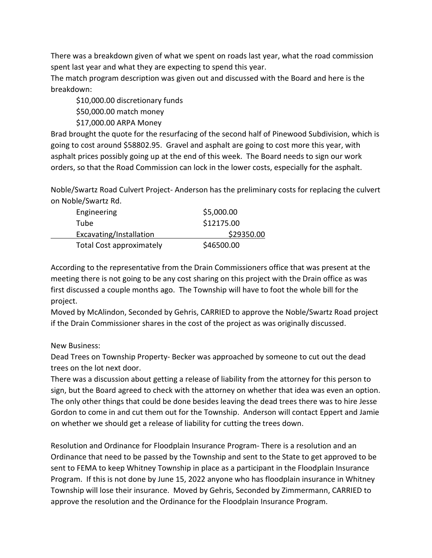There was a breakdown given of what we spent on roads last year, what the road commission spent last year and what they are expecting to spend this year.

The match program description was given out and discussed with the Board and here is the breakdown:

\$10,000.00 discretionary funds

\$50,000.00 match money

\$17,000.00 ARPA Money

Brad brought the quote for the resurfacing of the second half of Pinewood Subdivision, which is going to cost around \$58802.95. Gravel and asphalt are going to cost more this year, with asphalt prices possibly going up at the end of this week. The Board needs to sign our work orders, so that the Road Commission can lock in the lower costs, especially for the asphalt.

Noble/Swartz Road Culvert Project- Anderson has the preliminary costs for replacing the culvert on Noble/Swartz Rd.

| Engineering                     | \$5,000.00 |
|---------------------------------|------------|
| Tube                            | \$12175.00 |
| Excavating/Installation         | \$29350.00 |
| <b>Total Cost approximately</b> | \$46500.00 |

According to the representative from the Drain Commissioners office that was present at the meeting there is not going to be any cost sharing on this project with the Drain office as was first discussed a couple months ago. The Township will have to foot the whole bill for the project.

Moved by McAlindon, Seconded by Gehris, CARRIED to approve the Noble/Swartz Road project if the Drain Commissioner shares in the cost of the project as was originally discussed.

## New Business:

Dead Trees on Township Property- Becker was approached by someone to cut out the dead trees on the lot next door.

There was a discussion about getting a release of liability from the attorney for this person to sign, but the Board agreed to check with the attorney on whether that idea was even an option. The only other things that could be done besides leaving the dead trees there was to hire Jesse Gordon to come in and cut them out for the Township. Anderson will contact Eppert and Jamie on whether we should get a release of liability for cutting the trees down.

Resolution and Ordinance for Floodplain Insurance Program- There is a resolution and an Ordinance that need to be passed by the Township and sent to the State to get approved to be sent to FEMA to keep Whitney Township in place as a participant in the Floodplain Insurance Program. If this is not done by June 15, 2022 anyone who has floodplain insurance in Whitney Township will lose their insurance. Moved by Gehris, Seconded by Zimmermann, CARRIED to approve the resolution and the Ordinance for the Floodplain Insurance Program.